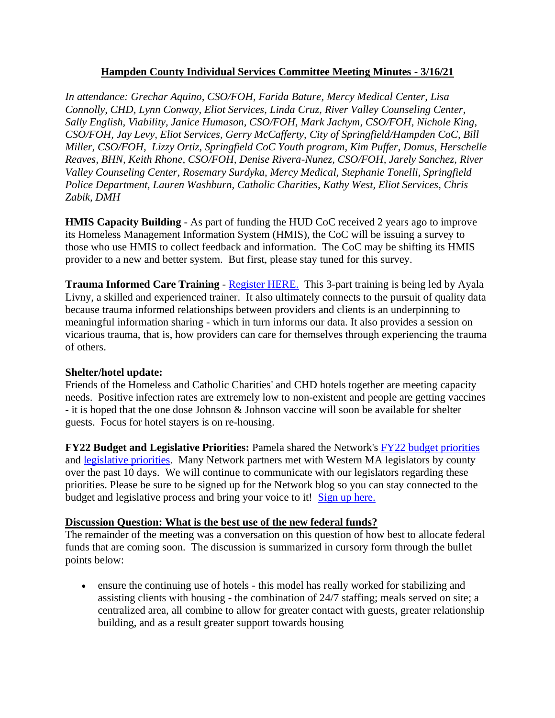## **Hampden County Individual Services Committee Meeting Minutes - 3/16/21**

*In attendance: Grechar Aquino, CSO/FOH, Farida Bature, Mercy Medical Center, Lisa Connolly, CHD, Lynn Conway, Eliot Services, Linda Cruz, River Valley Counseling Center, Sally English, Viability, Janice Humason, CSO/FOH, Mark Jachym, CSO/FOH, Nichole King, CSO/FOH, Jay Levy, Eliot Services, Gerry McCafferty, City of Springfield/Hampden CoC, Bill Miller, CSO/FOH, Lizzy Ortiz, Springfield CoC Youth program, Kim Puffer, Domus, Herschelle Reaves, BHN, Keith Rhone, CSO/FOH, Denise Rivera-Nunez, CSO/FOH, Jarely Sanchez, River Valley Counseling Center, Rosemary Surdyka, Mercy Medical, Stephanie Tonelli, Springfield Police Department, Lauren Washburn, Catholic Charities, Kathy West, Eliot Services, Chris Zabik, DMH*

**HMIS Capacity Building** - As part of funding the HUD CoC received 2 years ago to improve its Homeless Management Information System (HMIS), the CoC will be issuing a survey to those who use HMIS to collect feedback and information. The CoC may be shifting its HMIS provider to a new and better system. But first, please stay tuned for this survey.

**Trauma Informed Care Training - [Register HERE.](https://docs.google.com/forms/d/e/1FAIpQLSd6GXxZlKC8pANLOuNPyvsFEqXWLh66IHqIwlhVmS99Hg2MZQ/viewform)** This 3-part training is being led by Ayala Livny, a skilled and experienced trainer. It also ultimately connects to the pursuit of quality data because trauma informed relationships between providers and clients is an underpinning to meaningful information sharing - which in turn informs our data. It also provides a session on vicarious trauma, that is, how providers can care for themselves through experiencing the trauma of others.

## **Shelter/hotel update:**

Friends of the Homeless and Catholic Charities' and CHD hotels together are meeting capacity needs. Positive infection rates are extremely low to non-existent and people are getting vaccines - it is hoped that the one dose Johnson & Johnson vaccine will soon be available for shelter guests. Focus for hotel stayers is on re-housing.

**FY22 Budget and Legislative Priorities:** Pamela shared the Network's [FY22 budget priorities](https://www.westernmasshousingfirst.org/wp-content/uploads/2021/03/WMNEH-FY22-Budget-Priorities-March-2021-1.pdf) and [legislative priorities.](https://www.westernmasshousingfirst.org/wp-content/uploads/2021/03/WMNEH-Bill-Priorities-2021-2022.pdf) Many Network partners met with Western MA legislators by county over the past 10 days. We will continue to communicate with our legislators regarding these priorities. Please be sure to be signed up for the Network blog so you can stay connected to the budget and legislative process and bring your voice to it! [Sign up here.](https://www.westernmasshousingfirst.org/sign-up-for-the-network-blog-to-get-updates/)

## **Discussion Question: What is the best use of the new federal funds?**

The remainder of the meeting was a conversation on this question of how best to allocate federal funds that are coming soon. The discussion is summarized in cursory form through the bullet points below:

• ensure the continuing use of hotels - this model has really worked for stabilizing and assisting clients with housing - the combination of 24/7 staffing; meals served on site; a centralized area, all combine to allow for greater contact with guests, greater relationship building, and as a result greater support towards housing